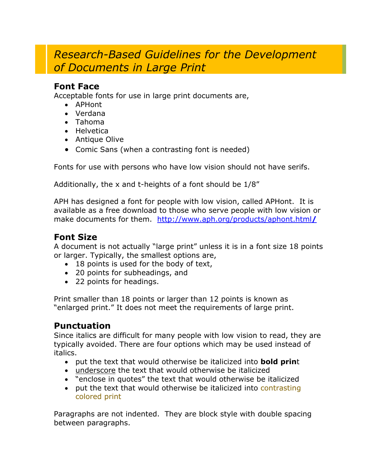# *Research-Based Guidelines for the Development of Documents in Large Print*

#### **Font Face**

Acceptable fonts for use in large print documents are,

- APHont
- Verdana
- Tahoma
- Helvetica
- Antique Olive
- Comic Sans (when a contrasting font is needed)

Fonts for use with persons who have low vision should not have serifs.

Additionally, the x and t-heights of a font should be 1/8"

APH has designed a font for people with low vision, called APHont. It is available as a free download to those who serve people with low vision or make documents for them. [http://www.aph.org/products/aphont.html](http://www.aph.org/products/aphont.html/)**/** 

# **Font Size**

A document is not actually "large print" unless it is in a font size 18 points or larger. Typically, the smallest options are,

- 18 points is used for the body of text,
- 20 points for subheadings, and
- 22 points for headings.

Print smaller than 18 points or larger than 12 points is known as "enlarged print." It does not meet the requirements of large print.

# **Punctuation**

Since italics are difficult for many people with low vision to read, they are typically avoided. There are four options which may be used instead of italics.

- put the text that would otherwise be italicized into **bold prin**t
- underscore the text that would otherwise be italicized
- "enclose in quotes" the text that would otherwise be italicized
- put the text that would otherwise be italicized into contrasting colored print

Paragraphs are not indented. They are block style with double spacing between paragraphs.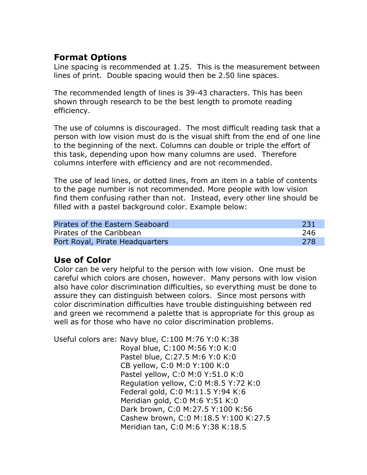# **Format Options**

Line spacing is recommended at 1.25. This is the measurement between lines of print. Double spacing would then be 2.50 line spaces.

The recommended length of lines is 39-43 characters. This has been shown through research to be the best length to promote reading efficiency.

The use of columns is discouraged. The most difficult reading task that a person with low vision must do is the visual shift from the end of one line to the beginning of the next. Columns can double or triple the effort of this task, depending upon how many columns are used. Therefore columns interfere with efficiency and are not recommended.

The use of lead lines, or dotted lines, from an item in a table of contents to the page number is not recommended. More people with low vision find them confusing rather than not. Instead, every other line should be filled with a pastel background color. Example below:

| Pirates of the Eastern Seaboard | 231 |
|---------------------------------|-----|
| Pirates of the Caribbean        | 246 |
| Port Royal, Pirate Headquarters | 278 |

# **Use of Color**

Color can be very helpful to the person with low vision. One must be careful which colors are chosen, however. Many persons with low vision also have color discrimination difficulties, so everything must be done to assure they can distinguish between colors. Since most persons with color discrimination difficulties have trouble distinguishing between red and green we recommend a palette that is appropriate for this group as well as for those who have no color discrimination problems.

Useful colors are: Navy blue, C:100 M:76 Y:0 K:38 Royal blue, C:100 M:56 Y:0 K:0 Pastel blue, C:27.5 M:6 Y:0 K:0 CB yellow, C:0 M:0 Y:100 K:0 Pastel yellow, C:0 M:0 Y:51.0 K:0 Regulation yellow, C:0 M:8.5 Y:72 K:0 Federal gold, C:0 M:11.5 Y:94 K:6 Meridian gold, C:0 M:6 Y:51 K:0 Dark brown, C:0 M:27.5 Y:100 K:56 Cashew brown, C:0 M:18.5 Y:100 K:27.5 Meridian tan, C:0 M:6 Y:38 K:18.5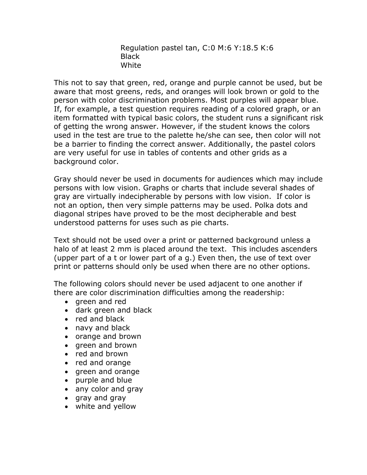Regulation pastel tan, C:0 M:6 Y:18.5 K:6 Black White

This not to say that green, red, orange and purple cannot be used, but be aware that most greens, reds, and oranges will look brown or gold to the person with color discrimination problems. Most purples will appear blue. If, for example, a test question requires reading of a colored graph, or an item formatted with typical basic colors, the student runs a significant risk of getting the wrong answer. However, if the student knows the colors used in the test are true to the palette he/she can see, then color will not be a barrier to finding the correct answer. Additionally, the pastel colors are very useful for use in tables of contents and other grids as a background color.

Gray should never be used in documents for audiences which may include persons with low vision. Graphs or charts that include several shades of gray are virtually indecipherable by persons with low vision. If color is not an option, then very simple patterns may be used. Polka dots and diagonal stripes have proved to be the most decipherable and best understood patterns for uses such as pie charts.

Text should not be used over a print or patterned background unless a halo of at least 2 mm is placed around the text. This includes ascenders (upper part of a t or lower part of a g.) Even then, the use of text over print or patterns should only be used when there are no other options.

The following colors should never be used adjacent to one another if there are color discrimination difficulties among the readership:

- green and red
- dark green and black
- red and black
- navy and black
- orange and brown
- green and brown
- red and brown
- red and orange
- green and orange
- purple and blue
- any color and gray
- gray and gray
- white and yellow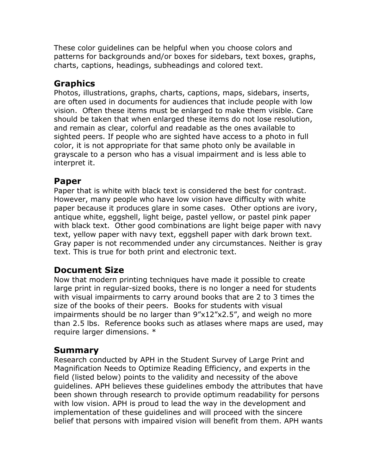These color guidelines can be helpful when you choose colors and patterns for backgrounds and/or boxes for sidebars, text boxes, graphs, charts, captions, headings, subheadings and colored text.

#### **Graphics**

Photos, illustrations, graphs, charts, captions, maps, sidebars, inserts, are often used in documents for audiences that include people with low vision. Often these items must be enlarged to make them visible. Care should be taken that when enlarged these items do not lose resolution, and remain as clear, colorful and readable as the ones available to sighted peers. If people who are sighted have access to a photo in full color, it is not appropriate for that same photo only be available in grayscale to a person who has a visual impairment and is less able to interpret it.

#### **Paper**

Paper that is white with black text is considered the best for contrast. However, many people who have low vision have difficulty with white paper because it produces glare in some cases. Other options are ivory, antique white, eggshell, light beige, pastel yellow, or pastel pink paper with black text. Other good combinations are light beige paper with navy text, yellow paper with navy text, eggshell paper with dark brown text. Gray paper is not recommended under any circumstances. Neither is gray text. This is true for both print and electronic text.

# **Document Size**

Now that modern printing techniques have made it possible to create large print in regular-sized books, there is no longer a need for students with visual impairments to carry around books that are 2 to 3 times the size of the books of their peers. Books for students with visual impairments should be no larger than 9"x12"x2.5", and weigh no more than 2.5 lbs. Reference books such as atlases where maps are used, may require larger dimensions. \*

# **Summary**

Research conducted by APH in the Student Survey of Large Print and Magnification Needs to Optimize Reading Efficiency, and experts in the field (listed below) points to the validity and necessity of the above guidelines. APH believes these guidelines embody the attributes that have been shown through research to provide optimum readability for persons with low vision. APH is proud to lead the way in the development and implementation of these guidelines and will proceed with the sincere belief that persons with impaired vision will benefit from them. APH wants